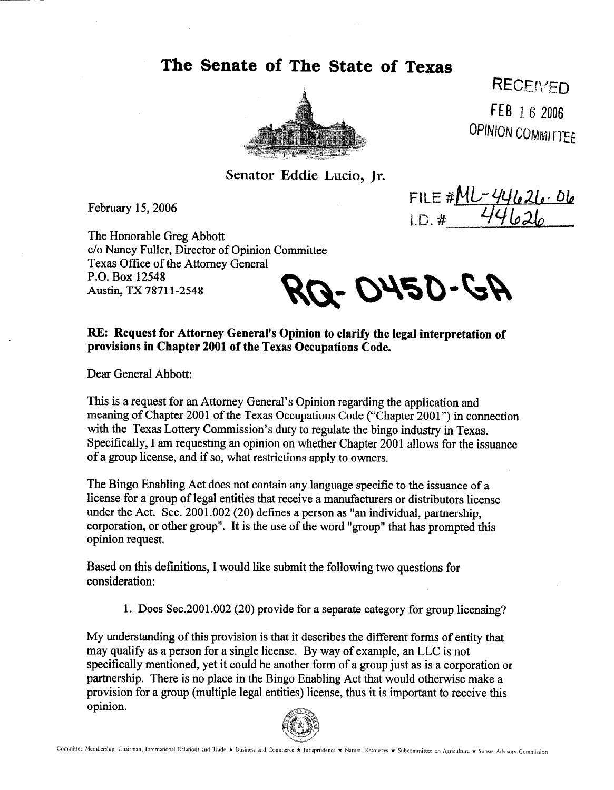**The Senate of The State of Texas** 



**RECEIVED** FEB 16 2006 **OPINION COMMITTEE** 

**Senator Eddie Lucia, Jr.** 

February 15,2006

FILE # $MU-44621.06$ <br>I.D. # 44626

The Honorable Greg Abbott c/o Nancy Fuller, Director of Opinion Committee Texas Office of the Attorney General P.O. Box 12548 Austin, TX 7871 l-2548

RO- 0450-GP

**RE: Request for Attorney General's Opinion to clarify the legal interpretation of provisions in Chapter 2001 of the Texas Occupations Code.** 

Dear General Abbott:

This is a request for an Attorney General's Opinion regarding the application and meaning of Chapter 2001 of the Texas Occupations Code ("Chapter 2001") in connection with the Texas Lottery Commission's duty to regulate the bingo industry in Texas. Specifically, I am requesting an opinion on whether Chapter 2001 allows for the issuance of a group license, and if so, what restrictions apply to owners.

The Bingo Enabling Act does not contain any language specific to the issuance of a license for a group of legal entities that receive a manufacturers or distributors license under the Act. Sec.  $2001.002$  (20) defines a person as "an individual, partnership, corporation, or other group". It is the use of the word "group" that has prompted this opinion request.

Based on this definitions, I would like submit the following two questions for consideration:

1. Does Sec.2001.002 (20) provide for a separate category for group licensing?

My understanding of this provision is that it describes the different forms of entity that may qualify as a person for a single license. By way of example, an LLC is not specifically mentioned, yet it could be another form of a group just as is a corporation or partnership. There is no place in the Bingo Enabling Act that would otherwise make a provision for a group (multiple legal entities) license, thus it is important to receive this opinion.